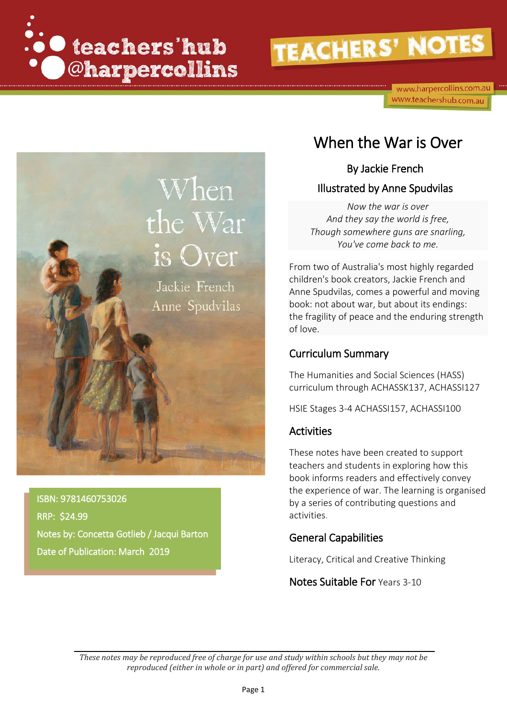

www.harpercollins.com.au www.teachershub.com.au



ISBN: 9781460753026 RRP: \$24.99 Notes by: Concetta Gotlieb / Jacqui Barton Date of Publication: March 2019

### When the War is Over

### By Jackie French Illustrated by Anne Spudvilas

*Now the war is over And they say the world is free, Though somewhere guns are snarling, You've come back to me.*

From two of Australia's most highly regarded children's book creators, Jackie French and Anne Spudvilas, comes a powerful and moving book: not about war, but about its endings: the fragility of peace and the enduring strength of love.

### Curriculum Summary

The Humanities and Social Sciences (HASS) curriculum through [ACHASSK137,](http://www.australiancurriculum.edu.au/Curriculum/ContentDescription/ACHASSK137) [ACHASSI127](http://www.australiancurriculum.edu.au/Curriculum/ContentDescription/ACHASSI127)

HSIE Stages 3-4 ACHASSI157, ACHASSI100

### Activities

These notes have been created to support teachers and students in exploring how this book informs readers and effectively convey the experience of war. The learning is organised by a series of contributing questions and activities.

### General Capabilities

Literacy, Critical and Creative Thinking

Notes Suitable For Years 3-10

*These notes may be reproduced free of charge for use and study within schools but they may not be reproduced (either in whole or in part) and offered for commercial sale.*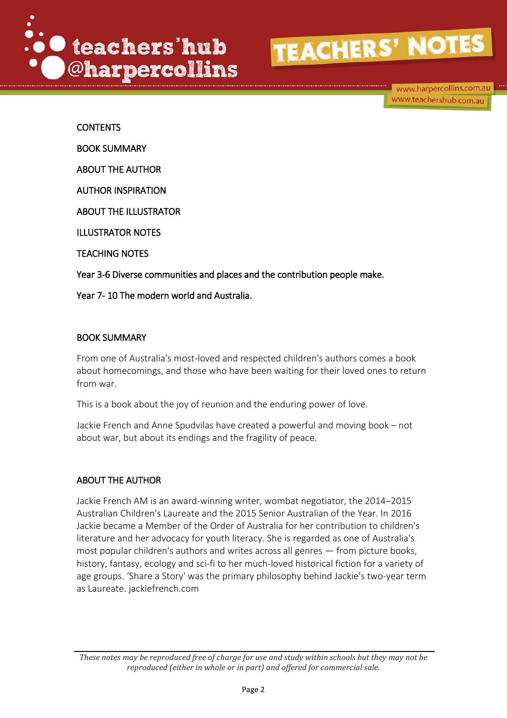

www.harpercollins.com.au www.teachershub.com.au

**CONTENTS** BOOK SUMMARY ABOUT THE AUTHOR AUTHOR INSPIRATION ABOUT THE ILLUSTRATOR ILLUSTRATOR NOTES TEACHING NOTES Year 3-6 Diverse communities and places and the contribution people make. Year 7- 10 The modern world and Australia.

#### BOOK SUMMARY

From one of Australia's most-loved and respected children's authors comes a book about homecomings, and those who have been waiting for their loved ones to return from war.

This is a book about the joy of reunion and the enduring power of love.

Jackie French and Anne Spudvilas have created a powerful and moving book – not about war, but about its endings and the fragility of peace.

#### ABOUT THE AUTHOR

Jackie French AM is an award-winning writer, wombat negotiator, the 2014–2015 Australian Children's Laureate and the 2015 Senior Australian of the Year. In 2016 Jackie became a Member of the Order of Australia for her contribution to children's literature and her advocacy for youth literacy. She is regarded as one of Australia's most popular children's authors and writes across all genres — from picture books, history, fantasy, ecology and sci-fi to her much-loved historical fiction for a variety of age groups. 'Share a Story' was the primary philosophy behind Jackie's two-year term as Laureate. jackiefrench.com

*These notes may be reproduced free of charge for use and study within schools but they may not be reproduced (either in whole or in part) and offered for commercial sale.*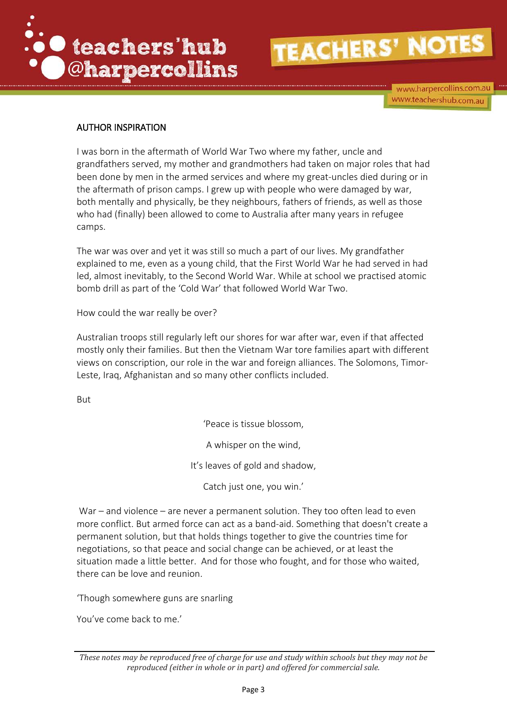

www.harpercollins.com.au www.teachershub.com.au

#### AUTHOR INSPIRATION

I was born in the aftermath of World War Two where my father, uncle and grandfathers served, my mother and grandmothers had taken on major roles that had been done by men in the armed services and where my great-uncles died during or in the aftermath of prison camps. I grew up with people who were damaged by war, both mentally and physically, be they neighbours, fathers of friends, as well as those who had (finally) been allowed to come to Australia after many years in refugee camps.

The war was over and yet it was still so much a part of our lives. My grandfather explained to me, even as a young child, that the First World War he had served in had led, almost inevitably, to the Second World War. While at school we practised atomic bomb drill as part of the 'Cold War' that followed World War Two.

How could the war really be over?

Australian troops still regularly left our shores for war after war, even if that affected mostly only their families. But then the Vietnam War tore families apart with different views on conscription, our role in the war and foreign alliances. The Solomons, Timor-Leste, Iraq, Afghanistan and so many other conflicts included.

But

'Peace is tissue blossom,

A whisper on the wind,

It's leaves of gold and shadow,

Catch just one, you win.'

War – and violence – are never a permanent solution. They too often lead to even more conflict. But armed force can act as a band-aid. Something that doesn't create a permanent solution, but that holds things together to give the countries time for negotiations, so that peace and social change can be achieved, or at least the situation made a little better. And for those who fought, and for those who waited, there can be love and reunion.

'Though somewhere guns are snarling

You've come back to me.'

*These notes may be reproduced free of charge for use and study within schools but they may not be reproduced (either in whole or in part) and offered for commercial sale.*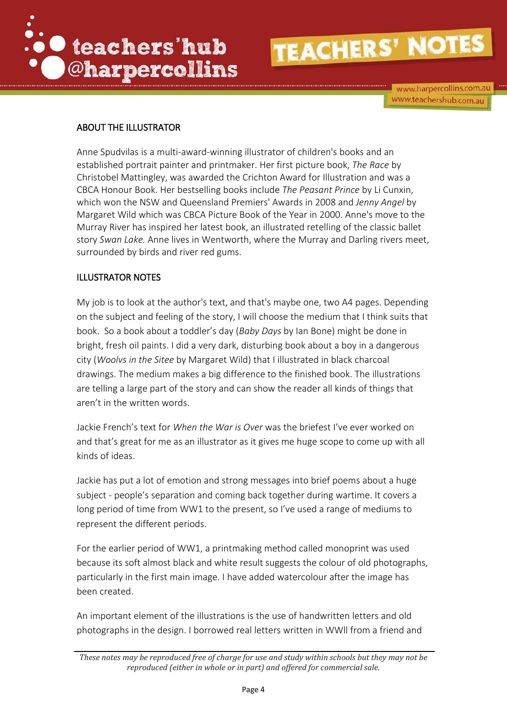

www.harpercollins.com.au www.teachershub.com.au

#### ABOUT THE ILLUSTRATOR

Anne Spudvilas is a multi-award-winning illustrator of children's books and an established portrait painter and printmaker. Her first picture book, *The Race* by Christobel Mattingley, was awarded the Crichton Award for Illustration and was a CBCA Honour Book. Her bestselling books include *The Peasant Prince* by Li Cunxin, which won the NSW and Queensland Premiers' Awards in 2008 and *Jenny Angel* by Margaret Wild which was CBCA Picture Book of the Year in 2000. Anne's move to the Murray River has inspired her latest book, an illustrated retelling of the classic ballet story *Swan Lake.* Anne lives in Wentworth, where the Murray and Darling rivers meet, surrounded by birds and river red gums.

#### ILLUSTRATOR NOTES

My job is to look at the author's text, and that's maybe one, two A4 pages. Depending on the subject and feeling of the story, I will choose the medium that I think suits that book. So a book about a toddler's day (*Baby Days* by Ian Bone) might be done in bright, fresh oil paints. I did a very dark, disturbing book about a boy in a dangerous city (*Woolvs in the Sitee* by Margaret Wild) that I illustrated in black charcoal drawings. The medium makes a big difference to the finished book. The illustrations are telling a large part of the story and can show the reader all kinds of things that aren't in the written words.

Jackie French's text for *When the War is Over* was the briefest I've ever worked on and that's great for me as an illustrator as it gives me huge scope to come up with all kinds of ideas.

Jackie has put a lot of emotion and strong messages into brief poems about a huge subject - people's separation and coming back together during wartime. It covers a long period of time from WW1 to the present, so I've used a range of mediums to represent the different periods.

For the earlier period of WW1, a printmaking method called monoprint was used because its soft almost black and white result suggests the colour of old photographs, particularly in the first main image. I have added watercolour after the image has been created.

An important element of the illustrations is the use of handwritten letters and old photographs in the design. I borrowed real letters written in WWll from a friend and

*These notes may be reproduced free of charge for use and study within schools but they may not be reproduced (either in whole or in part) and offered for commercial sale.*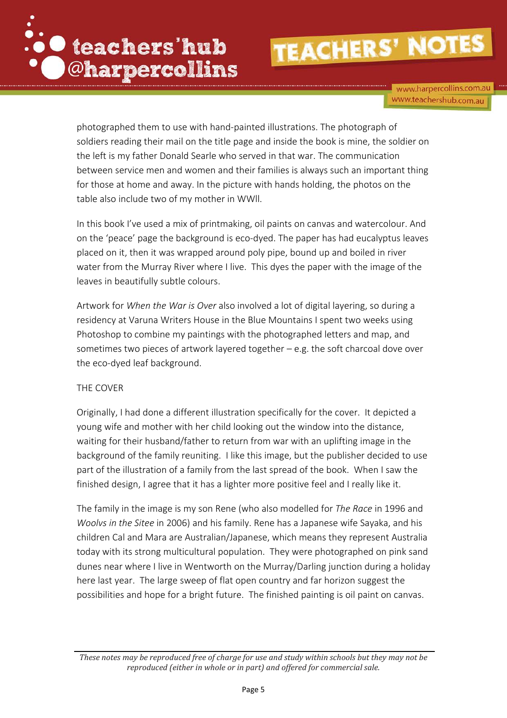

www.harpercollins.com.au www.teachershub.com.au

photographed them to use with hand-painted illustrations. The photograph of soldiers reading their mail on the title page and inside the book is mine, the soldier on the left is my father Donald Searle who served in that war. The communication between service men and women and their families is always such an important thing for those at home and away. In the picture with hands holding, the photos on the table also include two of my mother in WWll.

In this book I've used a mix of printmaking, oil paints on canvas and watercolour. And on the 'peace' page the background is eco-dyed. The paper has had eucalyptus leaves placed on it, then it was wrapped around poly pipe, bound up and boiled in river water from the Murray River where I live. This dyes the paper with the image of the leaves in beautifully subtle colours.

Artwork for *When the War is Over* also involved a lot of digital layering, so during a residency at Varuna Writers House in the Blue Mountains I spent two weeks using Photoshop to combine my paintings with the photographed letters and map, and sometimes two pieces of artwork layered together – e.g. the soft charcoal dove over the eco-dyed leaf background.

#### THE COVER

Originally, I had done a different illustration specifically for the cover. It depicted a young wife and mother with her child looking out the window into the distance, waiting for their husband/father to return from war with an uplifting image in the background of the family reuniting. I like this image, but the publisher decided to use part of the illustration of a family from the last spread of the book. When I saw the finished design, I agree that it has a lighter more positive feel and I really like it.

The family in the image is my son Rene (who also modelled for *The Race* in 1996 and *Woolvs in the Sitee* in 2006) and his family. Rene has a Japanese wife Sayaka, and his children Cal and Mara are Australian/Japanese, which means they represent Australia today with its strong multicultural population. They were photographed on pink sand dunes near where I live in Wentworth on the Murray/Darling junction during a holiday here last year. The large sweep of flat open country and far horizon suggest the possibilities and hope for a bright future. The finished painting is oil paint on canvas.

*These notes may be reproduced free of charge for use and study within schools but they may not be reproduced (either in whole or in part) and offered for commercial sale.*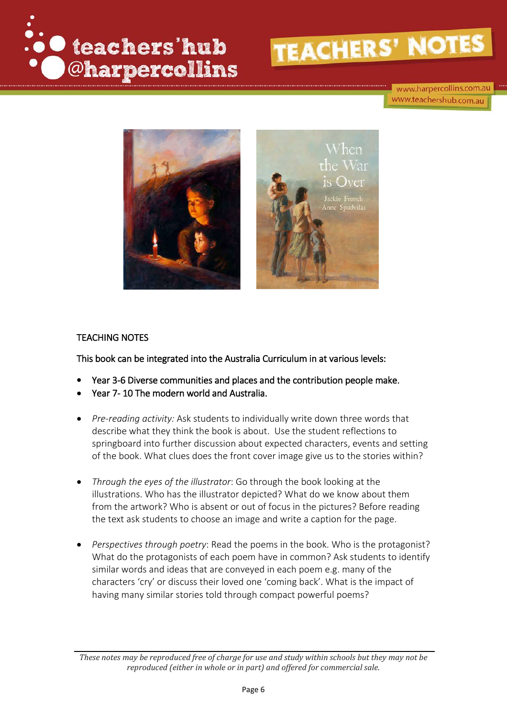

www.harpercollins.com.au www.teachershub.com.au



#### TEACHING NOTES

This book can be integrated into the Australia Curriculum in at various levels:

- Year 3-6 Diverse communities and places and the contribution people make.
- Year 7- 10 The modern world and Australia.
- *Pre-reading activity:* Ask students to individually write down three words that describe what they think the book is about. Use the student reflections to springboard into further discussion about expected characters, events and setting of the book. What clues does the front cover image give us to the stories within?
- *Through the eyes of the illustrator*: Go through the book looking at the illustrations. Who has the illustrator depicted? What do we know about them from the artwork? Who is absent or out of focus in the pictures? Before reading the text ask students to choose an image and write a caption for the page.
- *Perspectives through poetry*: Read the poems in the book. Who is the protagonist? What do the protagonists of each poem have in common? Ask students to identify similar words and ideas that are conveyed in each poem e.g. many of the characters 'cry' or discuss their loved one 'coming back'. What is the impact of having many similar stories told through compact powerful poems?

*These notes may be reproduced free of charge for use and study within schools but they may not be reproduced (either in whole or in part) and offered for commercial sale.*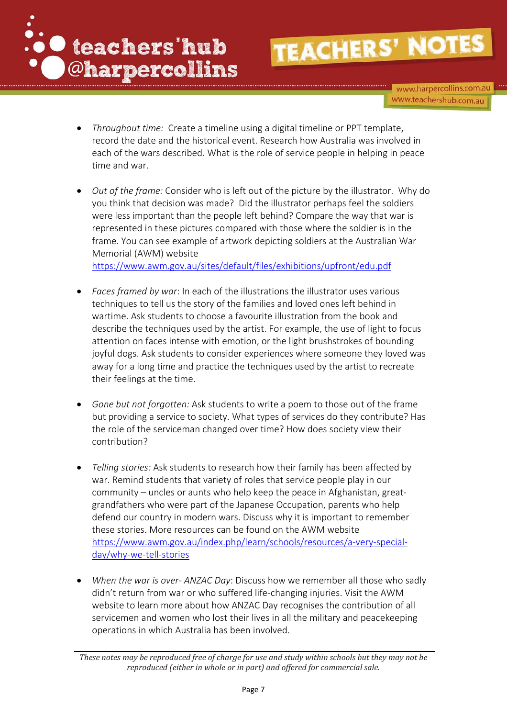

www.harpercollins.com.au www.teachershub.com.au

- *Throughout time:* Create a timeline using a digital timeline or PPT template, record the date and the historical event. Research how Australia was involved in each of the wars described. What is the role of service people in helping in peace time and war.
- *Out of the frame:* Consider who is left out of the picture by the illustrator. Why do you think that decision was made? Did the illustrator perhaps feel the soldiers were less important than the people left behind? Compare the way that war is represented in these pictures compared with those where the soldier is in the frame. You can see example of artwork depicting soldiers at the Australian War Memorial (AWM) website

<https://www.awm.gov.au/sites/default/files/exhibitions/upfront/edu.pdf>

- *Faces framed by war*: In each of the illustrations the illustrator uses various techniques to tell us the story of the families and loved ones left behind in wartime. Ask students to choose a favourite illustration from the book and describe the techniques used by the artist. For example, the use of light to focus attention on faces intense with emotion, or the light brushstrokes of bounding joyful dogs. Ask students to consider experiences where someone they loved was away for a long time and practice the techniques used by the artist to recreate their feelings at the time.
- *Gone but not forgotten:* Ask students to write a poem to those out of the frame but providing a service to society. What types of services do they contribute? Has the role of the serviceman changed over time? How does society view their contribution?
- *Telling stories:* Ask students to research how their family has been affected by war. Remind students that variety of roles that service people play in our community – uncles or aunts who help keep the peace in Afghanistan, greatgrandfathers who were part of the Japanese Occupation, parents who help defend our country in modern wars. Discuss why it is important to remember these stories. More resources can be found on the AWM website [https://www.awm.gov.au/index.php/learn/schools/resources/a-very-special](https://www.awm.gov.au/index.php/learn/schools/resources/a-very-special-day/why-we-tell-stories)[day/why-we-tell-stories](https://www.awm.gov.au/index.php/learn/schools/resources/a-very-special-day/why-we-tell-stories)
- *When the war is over- ANZAC Day*: Discuss how we remember all those who sadly didn't return from war or who suffered life-changing injuries. Visit the AWM website to learn more about how ANZAC Day recognises the contribution of all servicemen and women who lost their lives in all the military and peacekeeping operations in which Australia has been involved.

*These notes may be reproduced free of charge for use and study within schools but they may not be reproduced (either in whole or in part) and offered for commercial sale.*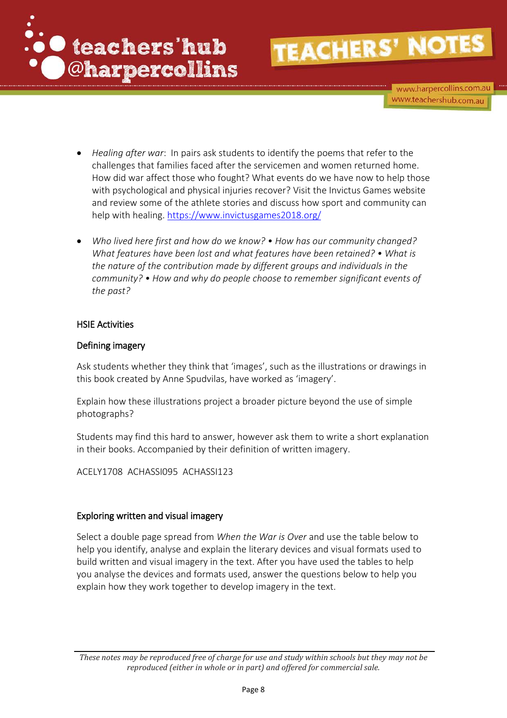

www.harpercollins.com.au www.teachershub.com.au

- *Healing after war*: In pairs ask students to identify the poems that refer to the challenges that families faced after the servicemen and women returned home. How did war affect those who fought? What events do we have now to help those with psychological and physical injuries recover? Visit the Invictus Games website and review some of the athlete stories and discuss how sport and community can help with healing.<https://www.invictusgames2018.org/>
- *Who lived here first and how do we know? How has our community changed? What features have been lost and what features have been retained? • What is the nature of the contribution made by different groups and individuals in the community? • How and why do people choose to remember significant events of the past?*

#### HSIE Activities

#### Defining imagery

Ask students whether they think that 'images', such as the illustrations or drawings in this book created by Anne Spudvilas, have worked as 'imagery'.

Explain how these illustrations project a broader picture beyond the use of simple photographs?

Students may find this hard to answer, however ask them to write a short explanation in their books. Accompanied by their definition of written imagery.

[ACELY1708](http://www.australiancurriculum.edu.au/Curriculum/ContentDescription/ACELY1708) [ACHASSI095](http://www.australiancurriculum.edu.au/Curriculum/ContentDescription/ACHASSI095) [ACHASSI123](http://www.australiancurriculum.edu.au/Curriculum/ContentDescription/ACHASSI123)

#### Exploring written and visual imagery

Select a double page spread from *When the War is Over* and use the table below to help you identify, analyse and explain the literary devices and visual formats used to build written and visual imagery in the text. After you have used the tables to help you analyse the devices and formats used, answer the questions below to help you explain how they work together to develop imagery in the text.

*These notes may be reproduced free of charge for use and study within schools but they may not be reproduced (either in whole or in part) and offered for commercial sale.*